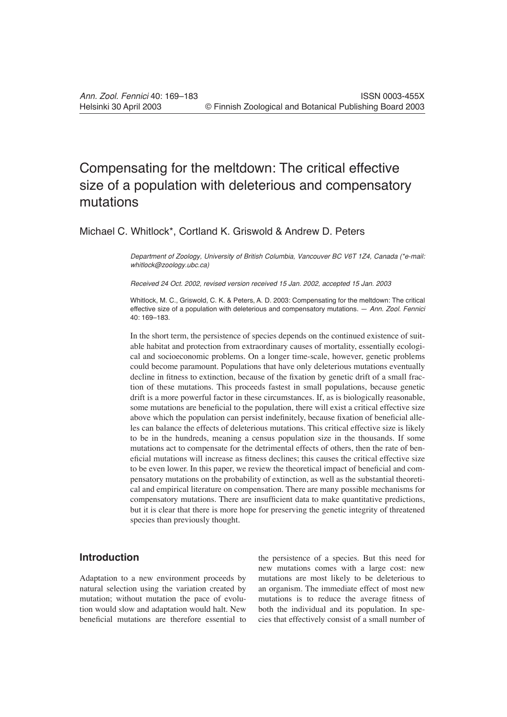# Compensating for the meltdown: The critical effective size of a population with deleterious and compensatory mutations

# Michael C. Whitlock\*, Cortland K. Griswold & Andrew D. Peters

*Department of Zoology, University of British Columbia, Vancouver BC V6T 1Z4, Canada (\*e-mail: whitlock@zoology.ubc.ca)*

*Received 24 Oct. 2002, revised version received 15 Jan. 2002, accepted 15 Jan. 2003*

Whitlock, M. C., Griswold, C. K. & Peters, A. D. 2003: Compensating for the meltdown: The critical effective size of a population with deleterious and compensatory mutations. — *Ann. Zool. Fennici* 40: 169–183.

In the short term, the persistence of species depends on the continued existence of suitable habitat and protection from extraordinary causes of mortality, essentially ecological and socioeconomic problems. On a longer time-scale, however, genetic problems could become paramount. Populations that have only deleterious mutations eventually decline in fitness to extinction, because of the fixation by genetic drift of a small fraction of these mutations. This proceeds fastest in small populations, because genetic drift is a more powerful factor in these circumstances. If, as is biologically reasonable, some mutations are beneficial to the population, there will exist a critical effective size above which the population can persist indefinitely, because fixation of beneficial alleles can balance the effects of deleterious mutations. This critical effective size is likely to be in the hundreds, meaning a census population size in the thousands. If some mutations act to compensate for the detrimental effects of others, then the rate of beneficial mutations will increase as fitness declines; this causes the critical effective size to be even lower. In this paper, we review the theoretical impact of beneficial and compensatory mutations on the probability of extinction, as well as the substantial theoretical and empirical literature on compensation. There are many possible mechanisms for compensatory mutations. There are insufficient data to make quantitative predictions, but it is clear that there is more hope for preserving the genetic integrity of threatened species than previously thought.

# **Introduction**

Adaptation to a new environment proceeds by natural selection using the variation created by mutation; without mutation the pace of evolution would slow and adaptation would halt. New beneficial mutations are therefore essential to

the persistence of a species. But this need for new mutations comes with a large cost: new mutations are most likely to be deleterious to an organism. The immediate effect of most new mutations is to reduce the average fitness of both the individual and its population. In species that effectively consist of a small number of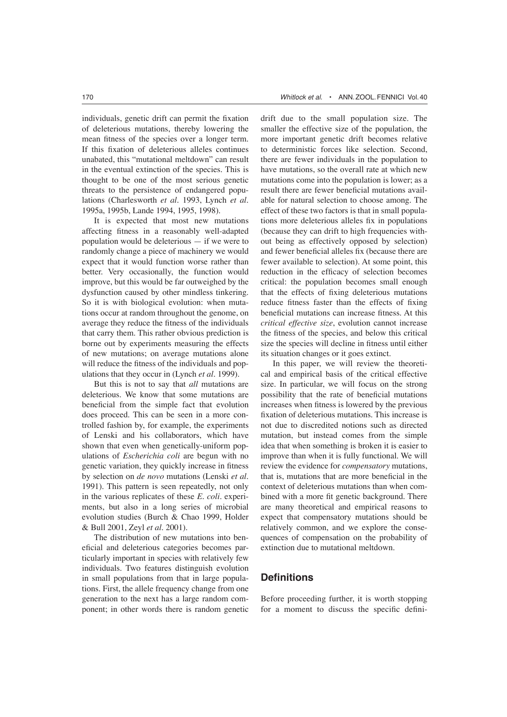individuals, genetic drift can permit the fixation of deleterious mutations, thereby lowering the mean fitness of the species over a longer term. If this fixation of deleterious alleles continues unabated, this "mutational meltdown" can result in the eventual extinction of the species. This is thought to be one of the most serious genetic threats to the persistence of endangered populations (Charlesworth *et al.* 1993, Lynch *et al.* 1995a, 1995b, Lande 1994, 1995, 1998).

It is expected that most new mutations affecting fitness in a reasonably well-adapted population would be deleterious — if we were to randomly change a piece of machinery we would expect that it would function worse rather than better. Very occasionally, the function would improve, but this would be far outweighed by the dysfunction caused by other mindless tinkering. So it is with biological evolution: when mutations occur at random throughout the genome, on average they reduce the fitness of the individuals that carry them. This rather obvious prediction is borne out by experiments measuring the effects of new mutations; on average mutations alone will reduce the fitness of the individuals and populations that they occur in (Lynch *et al.* 1999).

But this is not to say that *all* mutations are deleterious. We know that some mutations are beneficial from the simple fact that evolution does proceed. This can be seen in a more controlled fashion by, for example, the experiments of Lenski and his collaborators, which have shown that even when genetically-uniform populations of *Escherichia coli* are begun with no genetic variation, they quickly increase in fitness by selection on *de novo* mutations (Lenski *et al*. 1991). This pattern is seen repeatedly, not only in the various replicates of these *E. coli*. experiments, but also in a long series of microbial evolution studies (Burch & Chao 1999, Holder & Bull 2001, Zeyl *et al*. 2001).

The distribution of new mutations into beneficial and deleterious categories becomes particularly important in species with relatively few individuals. Two features distinguish evolution in small populations from that in large populations. First, the allele frequency change from one generation to the next has a large random component; in other words there is random genetic drift due to the small population size. The smaller the effective size of the population, the more important genetic drift becomes relative to deterministic forces like selection. Second, there are fewer individuals in the population to have mutations, so the overall rate at which new mutations come into the population is lower; as a result there are fewer beneficial mutations available for natural selection to choose among. The effect of these two factors is that in small populations more deleterious alleles fix in populations (because they can drift to high frequencies without being as effectively opposed by selection) and fewer beneficial alleles fix (because there are fewer available to selection). At some point, this reduction in the efficacy of selection becomes critical: the population becomes small enough that the effects of fixing deleterious mutations reduce fitness faster than the effects of fixing beneficial mutations can increase fitness. At this *critical effective size*, evolution cannot increase the fitness of the species, and below this critical size the species will decline in fitness until either its situation changes or it goes extinct.

In this paper, we will review the theoretical and empirical basis of the critical effective size. In particular, we will focus on the strong possibility that the rate of beneficial mutations increases when fitness is lowered by the previous fixation of deleterious mutations. This increase is not due to discredited notions such as directed mutation, but instead comes from the simple idea that when something is broken it is easier to improve than when it is fully functional. We will review the evidence for *compensatory* mutations, that is, mutations that are more beneficial in the context of deleterious mutations than when combined with a more fit genetic background. There are many theoretical and empirical reasons to expect that compensatory mutations should be relatively common, and we explore the consequences of compensation on the probability of extinction due to mutational meltdown.

## **Definitions**

Before proceeding further, it is worth stopping for a moment to discuss the specific defini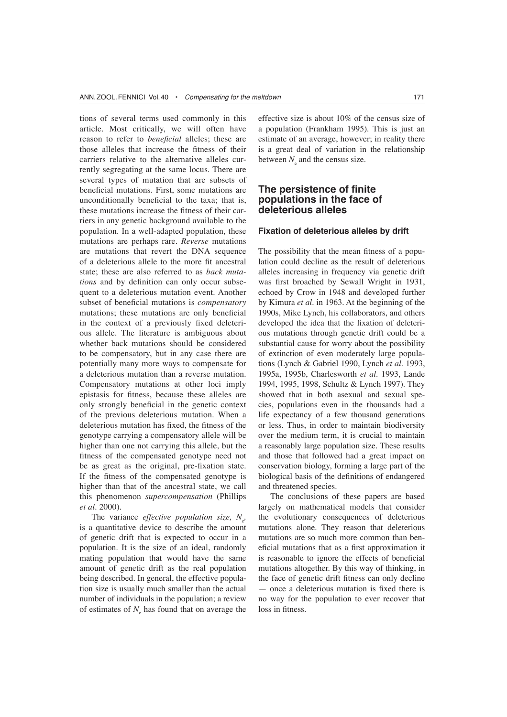tions of several terms used commonly in this article. Most critically, we will often have reason to refer to *beneficial* alleles; these are those alleles that increase the fitness of their carriers relative to the alternative alleles currently segregating at the same locus. There are several types of mutation that are subsets of beneficial mutations. First, some mutations are unconditionally beneficial to the taxa; that is, these mutations increase the fitness of their carriers in any genetic background available to the population. In a well-adapted population, these mutations are perhaps rare. *Reverse* mutations are mutations that revert the DNA sequence of a deleterious allele to the more fit ancestral state; these are also referred to as *back mutations* and by definition can only occur subsequent to a deleterious mutation event. Another subset of beneficial mutations is *compensatory*  mutations; these mutations are only beneficial in the context of a previously fixed deleterious allele. The literature is ambiguous about whether back mutations should be considered to be compensatory, but in any case there are potentially many more ways to compensate for a deleterious mutation than a reverse mutation. Compensatory mutations at other loci imply epistasis for fitness, because these alleles are only strongly beneficial in the genetic context of the previous deleterious mutation. When a deleterious mutation has fixed, the fitness of the genotype carrying a compensatory allele will be higher than one not carrying this allele, but the fitness of the compensated genotype need not be as great as the original, pre-fixation state. If the fitness of the compensated genotype is higher than that of the ancestral state, we call this phenomenon *supercompensation* (Phillips *et al*. 2000).

The variance *effective population size*,  $N_e$ , is a quantitative device to describe the amount of genetic drift that is expected to occur in a population. It is the size of an ideal, randomly mating population that would have the same amount of genetic drift as the real population being described. In general, the effective population size is usually much smaller than the actual number of individuals in the population; a review of estimates of  $N_{\rm s}$  has found that on average the

effective size is about 10% of the census size of a population (Frankham 1995). This is just an estimate of an average, however; in reality there is a great deal of variation in the relationship between  $N_e$  and the census size.

## **The persistence of finite populations in the face of deleterious alleles**

#### **Fixation of deleterious alleles by drift**

The possibility that the mean fitness of a population could decline as the result of deleterious alleles increasing in frequency via genetic drift was first broached by Sewall Wright in 1931, echoed by Crow in 1948 and developed further by Kimura *et al*. in 1963. At the beginning of the 1990s, Mike Lynch, his collaborators, and others developed the idea that the fixation of deleterious mutations through genetic drift could be a substantial cause for worry about the possibility of extinction of even moderately large populations (Lynch & Gabriel 1990, Lynch *et al*. 1993, 1995a, 1995b, Charlesworth *et al*. 1993, Lande 1994, 1995, 1998, Schultz & Lynch 1997). They showed that in both asexual and sexual species, populations even in the thousands had a life expectancy of a few thousand generations or less. Thus, in order to maintain biodiversity over the medium term, it is crucial to maintain a reasonably large population size. These results and those that followed had a great impact on conservation biology, forming a large part of the biological basis of the definitions of endangered and threatened species.

The conclusions of these papers are based largely on mathematical models that consider the evolutionary consequences of deleterious mutations alone. They reason that deleterious mutations are so much more common than beneficial mutations that as a first approximation it is reasonable to ignore the effects of beneficial mutations altogether. By this way of thinking, in the face of genetic drift fitness can only decline — once a deleterious mutation is fixed there is no way for the population to ever recover that loss in fitness.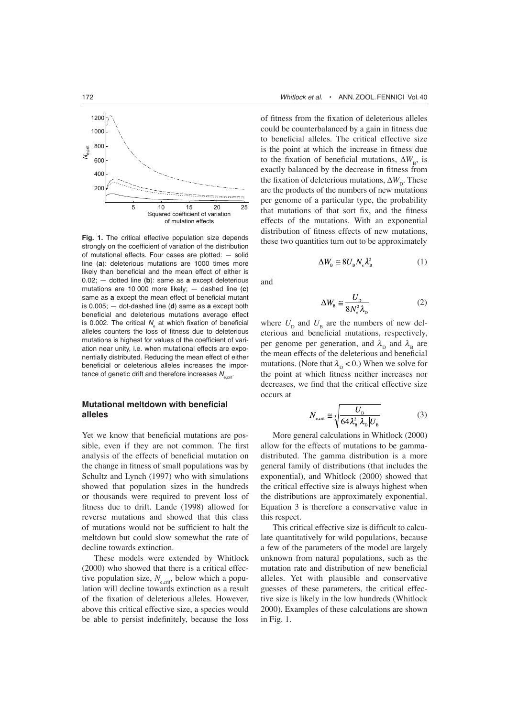

**Fig. 1.** The critical effective population size depends strongly on the coefficient of variation of the distribution of mutational effects. Four cases are plotted: — solid line (**a**): deleterious mutations are 1000 times more likely than beneficial and the mean effect of either is 0.02; — dotted line (**b**): same as **a** except deleterious mutations are 10 000 more likely; — dashed line (**c**) same as **a** except the mean effect of beneficial mutant is 0.005; — dot-dashed line (**d**) same as **a** except both beneficial and deleterious mutations average effect is 0.002. The critical  $N_{e}$  at which fixation of beneficial alleles counters the loss of fitness due to deleterious mutations is highest for values of the coefficient of variation near unity, i.e. when mutational effects are exponentially distributed. Reducing the mean effect of either beneficial or deleterious alleles increases the importance of genetic drift and therefore increases  $N_{\text{scrit}}$ .

## **Mutational meltdown with beneficial alleles**

Yet we know that beneficial mutations are possible, even if they are not common. The first analysis of the effects of beneficial mutation on the change in fitness of small populations was by Schultz and Lynch (1997) who with simulations showed that population sizes in the hundreds or thousands were required to prevent loss of fitness due to drift. Lande (1998) allowed for reverse mutations and showed that this class of mutations would not be sufficient to halt the meltdown but could slow somewhat the rate of decline towards extinction.

These models were extended by Whitlock (2000) who showed that there is a critical effective population size,  $N_{\text{ecrit}}$ , below which a population will decline towards extinction as a result of the fixation of deleterious alleles. However, above this critical effective size, a species would be able to persist indefinitely, because the loss

of fitness from the fixation of deleterious alleles could be counterbalanced by a gain in fitness due to beneficial alleles. The critical effective size is the point at which the increase in fitness due to the fixation of beneficial mutations,  $\Delta W_{\text{B}}$ , is exactly balanced by the decrease in fitness from the fixation of deleterious mutations,  $\Delta W_{\rm D}$ . These are the products of the numbers of new mutations per genome of a particular type, the probability that mutations of that sort fix, and the fitness effects of the mutations. With an exponential distribution of fitness effects of new mutations, these two quantities turn out to be approximately

$$
\Delta W_{\rm B} \cong 8U_{\rm B}N_{\rm e}\lambda_{\rm B}^2\tag{1}
$$

and

$$
\Delta W_{\rm B} \approx \frac{U_{\rm D}}{8N_{\rm s}^2 \lambda_{\rm D}}
$$
 (2)

where  $U_{\text{D}}$  and  $U_{\text{B}}$  are the numbers of new deleterious and beneficial mutations, respectively, per genome per generation, and  $\lambda_{\rm p}$  and  $\lambda_{\rm g}$  are the mean effects of the deleterious and beneficial mutations. (Note that  $\lambda_{\rm p} < 0$ .) When we solve for the point at which fitness neither increases nor decreases, we find that the critical effective size occurs at

$$
N_{\text{e,crit}} \cong \sqrt[3]{\frac{U_{\text{p}}}{64\lambda_{\text{B}}^2|\lambda_{\text{p}}|U_{\text{B}}}}
$$
(3)

More general calculations in Whitlock (2000) allow for the effects of mutations to be gammadistributed. The gamma distribution is a more general family of distributions (that includes the exponential), and Whitlock (2000) showed that the critical effective size is always highest when the distributions are approximately exponential. Equation 3 is therefore a conservative value in this respect.

This critical effective size is difficult to calculate quantitatively for wild populations, because a few of the parameters of the model are largely unknown from natural populations, such as the mutation rate and distribution of new beneficial alleles. Yet with plausible and conservative guesses of these parameters, the critical effective size is likely in the low hundreds (Whitlock 2000). Examples of these calculations are shown in Fig. 1.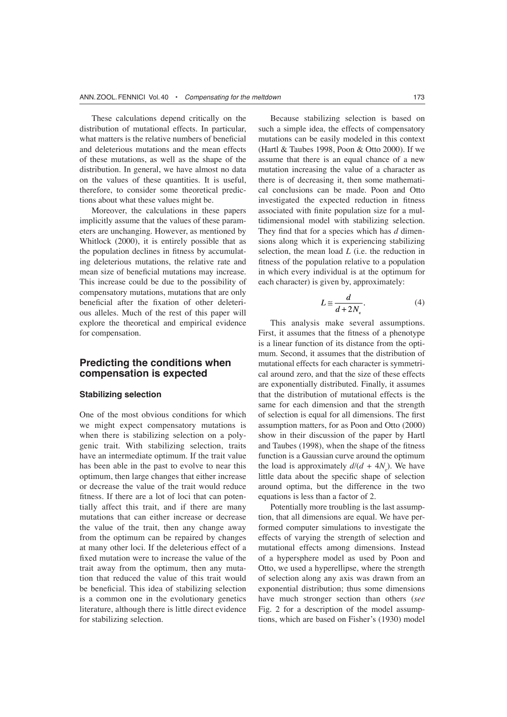These calculations depend critically on the distribution of mutational effects. In particular, what matters is the relative numbers of beneficial and deleterious mutations and the mean effects of these mutations, as well as the shape of the distribution. In general, we have almost no data on the values of these quantities. It is useful, therefore, to consider some theoretical predictions about what these values might be.

Moreover, the calculations in these papers implicitly assume that the values of these parameters are unchanging. However, as mentioned by Whitlock (2000), it is entirely possible that as the population declines in fitness by accumulating deleterious mutations, the relative rate and mean size of beneficial mutations may increase. This increase could be due to the possibility of compensatory mutations, mutations that are only beneficial after the fixation of other deleterious alleles. Much of the rest of this paper will explore the theoretical and empirical evidence for compensation.

## **Predicting the conditions when compensation is expected**

### **Stabilizing selection**

One of the most obvious conditions for which we might expect compensatory mutations is when there is stabilizing selection on a polygenic trait. With stabilizing selection, traits have an intermediate optimum. If the trait value has been able in the past to evolve to near this optimum, then large changes that either increase or decrease the value of the trait would reduce fitness. If there are a lot of loci that can potentially affect this trait, and if there are many mutations that can either increase or decrease the value of the trait, then any change away from the optimum can be repaired by changes at many other loci. If the deleterious effect of a fixed mutation were to increase the value of the trait away from the optimum, then any mutation that reduced the value of this trait would be beneficial. This idea of stabilizing selection is a common one in the evolutionary genetics literature, although there is little direct evidence for stabilizing selection.

Because stabilizing selection is based on such a simple idea, the effects of compensatory mutations can be easily modeled in this context (Hartl  $&$  Taubes 1998, Poon  $&$  Otto 2000). If we assume that there is an equal chance of a new mutation increasing the value of a character as there is of decreasing it, then some mathematical conclusions can be made. Poon and Otto investigated the expected reduction in fitness associated with finite population size for a multidimensional model with stabilizing selection. They find that for a species which has *d* dimensions along which it is experiencing stabilizing selection, the mean load *L* (i.e. the reduction in fitness of the population relative to a population in which every individual is at the optimum for each character) is given by, approximately:

$$
L \cong \frac{d}{d + 2N_{\rm s}}.\tag{4}
$$

This analysis make several assumptions. First, it assumes that the fitness of a phenotype is a linear function of its distance from the optimum. Second, it assumes that the distribution of mutational effects for each character is symmetrical around zero, and that the size of these effects are exponentially distributed. Finally, it assumes that the distribution of mutational effects is the same for each dimension and that the strength of selection is equal for all dimensions. The first assumption matters, for as Poon and Otto (2000) show in their discussion of the paper by Hartl and Taubes (1998), when the shape of the fitness function is a Gaussian curve around the optimum the load is approximately  $d/(d + 4N_e)$ . We have little data about the specific shape of selection around optima, but the difference in the two equations is less than a factor of 2.

Potentially more troubling is the last assumption, that all dimensions are equal. We have performed computer simulations to investigate the effects of varying the strength of selection and mutational effects among dimensions. Instead of a hypersphere model as used by Poon and Otto, we used a hyperellipse, where the strength of selection along any axis was drawn from an exponential distribution; thus some dimensions have much stronger section than others (*see* Fig. 2 for a description of the model assumptions, which are based on Fisher's (1930) model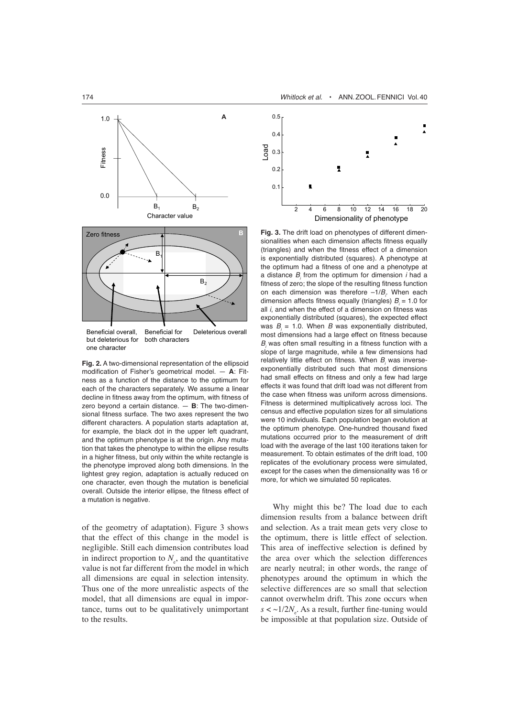

but deleterious for both characters one character

**Fig. 2.** A two-dimensional representation of the ellipsoid modification of Fisher's geometrical model. — **A**: Fitness as a function of the distance to the optimum for each of the characters separately. We assume a linear decline in fitness away from the optimum, with fitness of zero beyond a certain distance. — **B**: The two-dimensional fitness surface. The two axes represent the two different characters. A population starts adaptation at, for example, the black dot in the upper left quadrant, and the optimum phenotype is at the origin. Any mutation that takes the phenotype to within the ellipse results in a higher fitness, but only within the white rectangle is the phenotype improved along both dimensions. In the lightest grey region, adaptation is actually reduced on one character, even though the mutation is beneficial overall. Outside the interior ellipse, the fitness effect of a mutation is negative.

of the geometry of adaptation). Figure 3 shows that the effect of this change in the model is negligible. Still each dimension contributes load in indirect proportion to  $N_e$ , and the quantitative value is not far different from the model in which all dimensions are equal in selection intensity. Thus one of the more unrealistic aspects of the model, that all dimensions are equal in importance, turns out to be qualitatively unimportant to the results.



**B Fig. 3.** The drift load on phenotypes of different dimensionalities when each dimension affects fitness equally (triangles) and when the fitness effect of a dimension is exponentially distributed (squares). A phenotype at the optimum had a fitness of one and a phenotype at a distance *Bi* from the optimum for dimension *i* had a fitness of zero; the slope of the resulting fitness function on each dimension was therefore  $-1/B$ <sub>*i*</sub>. When each dimension affects fitness equally (triangles)  $B = 1.0$  for all *i*, and when the effect of a dimension on fitness was exponentially distributed (squares), the expected effect was  $B = 1.0$ . When  $B$  was exponentially distributed, most dimensions had a large effect on fitness because *Bi* was often small resulting in a fitness function with a slope of large magnitude, while a few dimensions had relatively little effect on fitness. When *Bi* was inverseexponentially distributed such that most dimensions had small effects on fitness and only a few had large effects it was found that drift load was not different from the case when fitness was uniform across dimensions. Fitness is determined multiplicatively across loci. The census and effective population sizes for all simulations were 10 individuals. Each population began evolution at the optimum phenotype. One-hundred thousand fixed mutations occurred prior to the measurement of drift load with the average of the last 100 iterations taken for measurement. To obtain estimates of the drift load, 100 replicates of the evolutionary process were simulated, except for the cases when the dimensionality was 16 or more, for which we simulated 50 replicates.

Why might this be? The load due to each dimension results from a balance between drift and selection. As a trait mean gets very close to the optimum, there is little effect of selection. This area of ineffective selection is defined by the area over which the selection differences are nearly neutral; in other words, the range of phenotypes around the optimum in which the selective differences are so small that selection cannot overwhelm drift. This zone occurs when  $s < \sim 1/2N_e$ . As a result, further fine-tuning would be impossible at that population size. Outside of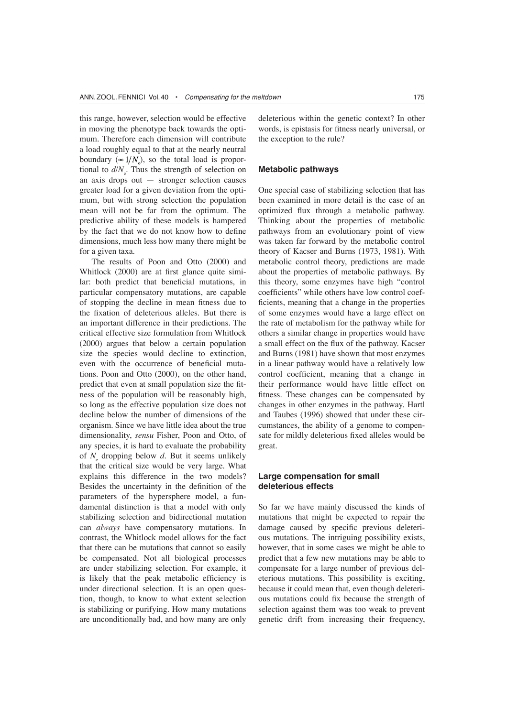this range, however, selection would be effective in moving the phenotype back towards the optimum. Therefore each dimension will contribute a load roughly equal to that at the nearly neutral boundary ( $\propto 1/N$ ), so the total load is proportional to  $d/N_e$ . Thus the strength of selection on an axis drops out — stronger selection causes greater load for a given deviation from the optimum, but with strong selection the population mean will not be far from the optimum. The predictive ability of these models is hampered by the fact that we do not know how to define dimensions, much less how many there might be for a given taxa.

The results of Poon and Otto (2000) and Whitlock (2000) are at first glance quite similar: both predict that beneficial mutations, in particular compensatory mutations, are capable of stopping the decline in mean fitness due to the fixation of deleterious alleles. But there is an important difference in their predictions. The critical effective size formulation from Whitlock (2000) argues that below a certain population size the species would decline to extinction, even with the occurrence of beneficial mutations. Poon and Otto (2000), on the other hand, predict that even at small population size the fitness of the population will be reasonably high, so long as the effective population size does not decline below the number of dimensions of the organism. Since we have little idea about the true dimensionality, *sensu* Fisher, Poon and Otto, of any species, it is hard to evaluate the probability of  $N_{\rm s}$  dropping below  $d$ . But it seems unlikely that the critical size would be very large. What explains this difference in the two models? Besides the uncertainty in the definition of the parameters of the hypersphere model, a fundamental distinction is that a model with only stabilizing selection and bidirectional mutation can *always* have compensatory mutations. In contrast, the Whitlock model allows for the fact that there can be mutations that cannot so easily be compensated. Not all biological processes are under stabilizing selection. For example, it is likely that the peak metabolic efficiency is under directional selection. It is an open question, though, to know to what extent selection is stabilizing or purifying. How many mutations are unconditionally bad, and how many are only

deleterious within the genetic context? In other words, is epistasis for fitness nearly universal, or the exception to the rule?

## **Metabolic pathways**

One special case of stabilizing selection that has been examined in more detail is the case of an optimized flux through a metabolic pathway. Thinking about the properties of metabolic pathways from an evolutionary point of view was taken far forward by the metabolic control theory of Kacser and Burns (1973, 1981). With metabolic control theory, predictions are made about the properties of metabolic pathways. By this theory, some enzymes have high "control coefficients" while others have low control coefficients, meaning that a change in the properties of some enzymes would have a large effect on the rate of metabolism for the pathway while for others a similar change in properties would have a small effect on the flux of the pathway. Kacser and Burns (1981) have shown that most enzymes in a linear pathway would have a relatively low control coefficient, meaning that a change in their performance would have little effect on fitness. These changes can be compensated by changes in other enzymes in the pathway. Hartl and Taubes (1996) showed that under these circumstances, the ability of a genome to compensate for mildly deleterious fixed alleles would be great.

## **Large compensation for small deleterious effects**

So far we have mainly discussed the kinds of mutations that might be expected to repair the damage caused by specific previous deleterious mutations. The intriguing possibility exists, however, that in some cases we might be able to predict that a few new mutations may be able to compensate for a large number of previous deleterious mutations. This possibility is exciting, because it could mean that, even though deleterious mutations could fix because the strength of selection against them was too weak to prevent genetic drift from increasing their frequency,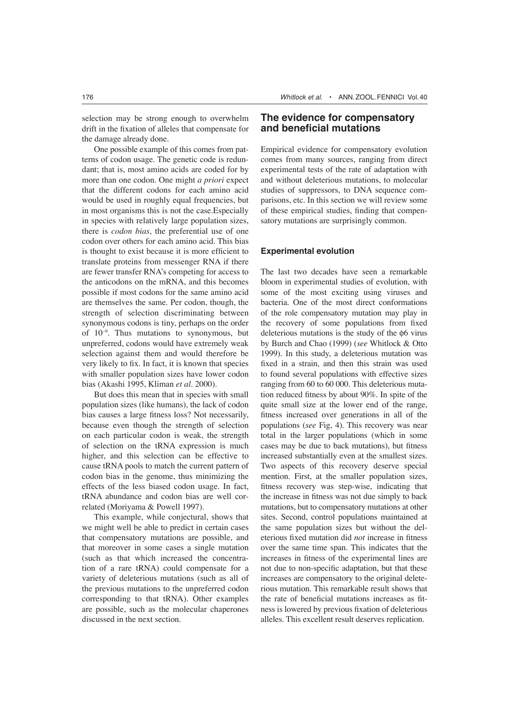selection may be strong enough to overwhelm drift in the fixation of alleles that compensate for the damage already done.

One possible example of this comes from patterns of codon usage. The genetic code is redundant; that is, most amino acids are coded for by more than one codon. One might *a priori* expect that the different codons for each amino acid would be used in roughly equal frequencies, but in most organisms this is not the case.Especially in species with relatively large population sizes, there is *codon bias*, the preferential use of one codon over others for each amino acid. This bias is thought to exist because it is more efficient to translate proteins from messenger RNA if there are fewer transfer RNA's competing for access to the anticodons on the mRNA, and this becomes possible if most codons for the same amino acid are themselves the same. Per codon, though, the strength of selection discriminating between synonymous codons is tiny, perhaps on the order of  $10^{-9}$ . Thus mutations to synonymous, but unpreferred, codons would have extremely weak selection against them and would therefore be very likely to fix. In fact, it is known that species with smaller population sizes have lower codon bias (Akashi 1995, Kliman *et al*. 2000).

But does this mean that in species with small population sizes (like humans), the lack of codon bias causes a large fitness loss? Not necessarily, because even though the strength of selection on each particular codon is weak, the strength of selection on the tRNA expression is much higher, and this selection can be effective to cause tRNA pools to match the current pattern of codon bias in the genome, thus minimizing the effects of the less biased codon usage. In fact, tRNA abundance and codon bias are well correlated (Moriyama & Powell 1997).

This example, while conjectural, shows that we might well be able to predict in certain cases that compensatory mutations are possible, and that moreover in some cases a single mutation (such as that which increased the concentration of a rare tRNA) could compensate for a variety of deleterious mutations (such as all of the previous mutations to the unpreferred codon corresponding to that tRNA). Other examples are possible, such as the molecular chaperones discussed in the next section.

## **The evidence for compensatory and beneficial mutations**

Empirical evidence for compensatory evolution comes from many sources, ranging from direct experimental tests of the rate of adaptation with and without deleterious mutations, to molecular studies of suppressors, to DNA sequence comparisons, etc. In this section we will review some of these empirical studies, finding that compensatory mutations are surprisingly common.

## **Experimental evolution**

The last two decades have seen a remarkable bloom in experimental studies of evolution, with some of the most exciting using viruses and bacteria. One of the most direct conformations of the role compensatory mutation may play in the recovery of some populations from fixed deleterious mutations is the study of the  $\phi$ 6 virus by Burch and Chao (1999) (*see* Whitlock & Otto 1999). In this study, a deleterious mutation was fixed in a strain, and then this strain was used to found several populations with effective sizes ranging from 60 to 60 000. This deleterious mutation reduced fitness by about 90%. In spite of the quite small size at the lower end of the range, fitness increased over generations in all of the populations (*see* Fig, 4). This recovery was near total in the larger populations (which in some cases may be due to back mutations), but fitness increased substantially even at the smallest sizes. Two aspects of this recovery deserve special mention. First, at the smaller population sizes, fitness recovery was step-wise, indicating that the increase in fitness was not due simply to back mutations, but to compensatory mutations at other sites. Second, control populations maintained at the same population sizes but without the deleterious fixed mutation did *not* increase in fitness over the same time span. This indicates that the increases in fitness of the experimental lines are not due to non-specific adaptation, but that these increases are compensatory to the original deleterious mutation. This remarkable result shows that the rate of beneficial mutations increases as fitness is lowered by previous fixation of deleterious alleles. This excellent result deserves replication.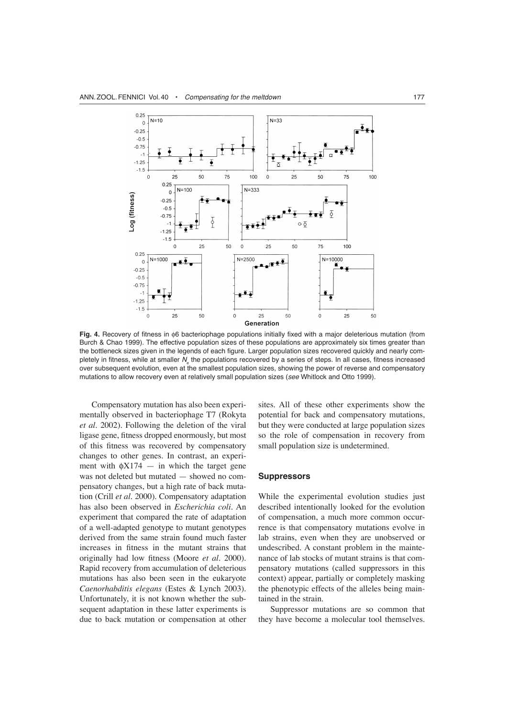

Fig. 4. Recovery of fitness in  $\phi$ 6 bacteriophage populations initially fixed with a major deleterious mutation (from Burch & Chao 1999). The effective population sizes of these populations are approximately six times greater than the bottleneck sizes given in the legends of each figure. Larger population sizes recovered quickly and nearly completely in fitness, while at smaller N<sub>s</sub> the populations recovered by a series of steps. In all cases, fitness increased over subsequent evolution, even at the smallest population sizes, showing the power of reverse and compensatory mutations to allow recovery even at relatively small population sizes (*see* Whitlock and Otto 1999).

Compensatory mutation has also been experimentally observed in bacteriophage T7 (Rokyta *et al*. 2002). Following the deletion of the viral ligase gene, fitness dropped enormously, but most of this fitness was recovered by compensatory changes to other genes. In contrast, an experiment with  $\phi X174 -$  in which the target gene was not deleted but mutated — showed no compensatory changes, but a high rate of back mutation (Crill *et al*. 2000). Compensatory adaptation has also been observed in *Escherichia coli*. An experiment that compared the rate of adaptation of a well-adapted genotype to mutant genotypes derived from the same strain found much faster increases in fitness in the mutant strains that originally had low fitness (Moore *et al.* 2000). Rapid recovery from accumulation of deleterious mutations has also been seen in the eukaryote *Caenorhabditis elegans* (Estes & Lynch 2003). Unfortunately, it is not known whether the subsequent adaptation in these latter experiments is due to back mutation or compensation at other sites. All of these other experiments show the potential for back and compensatory mutations, but they were conducted at large population sizes so the role of compensation in recovery from small population size is undetermined.

#### **Suppressors**

While the experimental evolution studies just described intentionally looked for the evolution of compensation, a much more common occurrence is that compensatory mutations evolve in lab strains, even when they are unobserved or undescribed. A constant problem in the maintenance of lab stocks of mutant strains is that compensatory mutations (called suppressors in this context) appear, partially or completely masking the phenotypic effects of the alleles being maintained in the strain.

Suppressor mutations are so common that they have become a molecular tool themselves.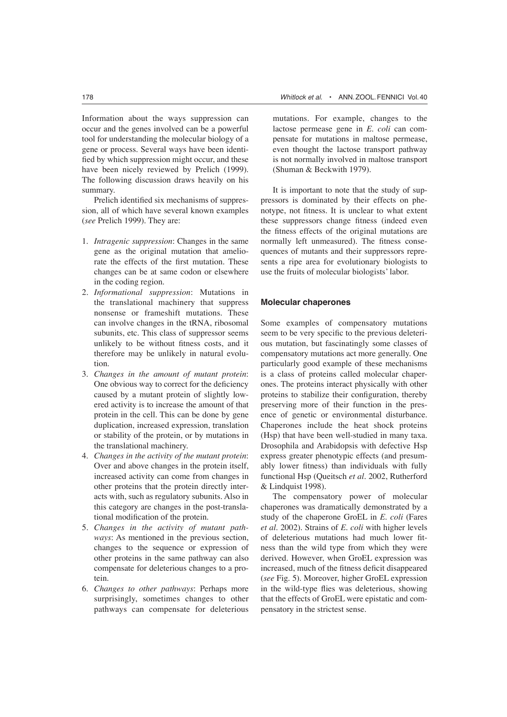Information about the ways suppression can occur and the genes involved can be a powerful tool for understanding the molecular biology of a gene or process. Several ways have been identified by which suppression might occur, and these have been nicely reviewed by Prelich (1999). The following discussion draws heavily on his summary.

Prelich identified six mechanisms of suppression, all of which have several known examples (*see* Prelich 1999). They are:

- 1. *Intragenic suppression*: Changes in the same gene as the original mutation that ameliorate the effects of the first mutation. These changes can be at same codon or elsewhere in the coding region.
- 2. *Informational suppression*: Mutations in the translational machinery that suppress nonsense or frameshift mutations. These can involve changes in the tRNA, ribosomal subunits, etc. This class of suppressor seems unlikely to be without fitness costs, and it therefore may be unlikely in natural evolution.
- 3. *Changes in the amount of mutant protein*: One obvious way to correct for the deficiency caused by a mutant protein of slightly lowered activity is to increase the amount of that protein in the cell. This can be done by gene duplication, increased expression, translation or stability of the protein, or by mutations in the translational machinery.
- 4. *Changes in the activity of the mutant protein*: Over and above changes in the protein itself, increased activity can come from changes in other proteins that the protein directly interacts with, such as regulatory subunits. Also in this category are changes in the post-translational modification of the protein.
- 5. *Changes in the activity of mutant pathways*: As mentioned in the previous section, changes to the sequence or expression of other proteins in the same pathway can also compensate for deleterious changes to a protein.
- 6. *Changes to other pathways*: Perhaps more surprisingly, sometimes changes to other pathways can compensate for deleterious

mutations. For example, changes to the lactose permease gene in *E. coli* can compensate for mutations in maltose permease, even thought the lactose transport pathway is not normally involved in maltose transport (Shuman & Beckwith 1979).

It is important to note that the study of suppressors is dominated by their effects on phenotype, not fitness. It is unclear to what extent these suppressors change fitness (indeed even the fitness effects of the original mutations are normally left unmeasured). The fitness consequences of mutants and their suppressors represents a ripe area for evolutionary biologists to use the fruits of molecular biologists' labor.

#### **Molecular chaperones**

Some examples of compensatory mutations seem to be very specific to the previous deleterious mutation, but fascinatingly some classes of compensatory mutations act more generally. One particularly good example of these mechanisms is a class of proteins called molecular chaperones. The proteins interact physically with other proteins to stabilize their configuration, thereby preserving more of their function in the presence of genetic or environmental disturbance. Chaperones include the heat shock proteins (Hsp) that have been well-studied in many taxa. Drosophila and Arabidopsis with defective Hsp express greater phenotypic effects (and presumably lower fitness) than individuals with fully functional Hsp (Queitsch *et al.* 2002, Rutherford & Lindquist 1998).

The compensatory power of molecular chaperones was dramatically demonstrated by a study of the chaperone GroEL in *E. coli* (Fares *et al*. 2002). Strains of *E. coli* with higher levels of deleterious mutations had much lower fitness than the wild type from which they were derived. However, when GroEL expression was increased, much of the fitness deficit disappeared (*see* Fig. 5). Moreover, higher GroEL expression in the wild-type flies was deleterious, showing that the effects of GroEL were epistatic and compensatory in the strictest sense.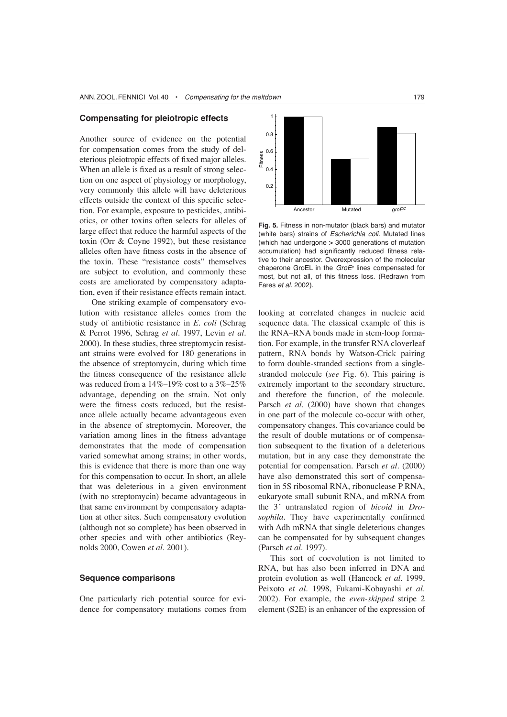#### **Compensating for pleiotropic effects**

Another source of evidence on the potential for compensation comes from the study of deleterious pleiotropic effects of fixed major alleles. When an allele is fixed as a result of strong selection on one aspect of physiology or morphology, very commonly this allele will have deleterious effects outside the context of this specific selection. For example, exposure to pesticides, antibiotics, or other toxins often selects for alleles of large effect that reduce the harmful aspects of the toxin (Orr & Coyne 1992), but these resistance alleles often have fitness costs in the absence of the toxin. These "resistance costs" themselves are subject to evolution, and commonly these costs are ameliorated by compensatory adaptation, even if their resistance effects remain intact.

One striking example of compensatory evolution with resistance alleles comes from the study of antibiotic resistance in *E. coli* (Schrag & Perrot 1996, Schrag *et al*. 1997, Levin *et al*. 2000). In these studies, three streptomycin resistant strains were evolved for 180 generations in the absence of streptomycin, during which time the fitness consequence of the resistance allele was reduced from a  $14\%$ – $19\%$  cost to a  $3\%$ – $25\%$ advantage, depending on the strain. Not only were the fitness costs reduced, but the resistance allele actually became advantageous even in the absence of streptomycin. Moreover, the variation among lines in the fitness advantage demonstrates that the mode of compensation varied somewhat among strains; in other words, this is evidence that there is more than one way for this compensation to occur. In short, an allele that was deleterious in a given environment (with no streptomycin) became advantageous in that same environment by compensatory adaptation at other sites. Such compensatory evolution (although not so complete) has been observed in other species and with other antibiotics (Reynolds 2000, Cowen *et al*. 2001).

## **Sequence comparisons**

One particularly rich potential source for evidence for compensatory mutations comes from



**Fig. 5.** Fitness in non-mutator (black bars) and mutator (white bars) strains of *Escherichia coli*. Mutated lines (which had undergone > 3000 generations of mutation accumulation) had significantly reduced fitness relative to their ancestor. Overexpression of the molecular chaperone GroEL in the *GroE<sup>c</sup>* lines compensated for most, but not all, of this fitness loss. (Redrawn from Fares *et al*. 2002).

looking at correlated changes in nucleic acid sequence data. The classical example of this is the RNA–RNA bonds made in stem-loop formation. For example, in the transfer RNA cloverleaf pattern, RNA bonds by Watson-Crick pairing to form double-stranded sections from a singlestranded molecule (*see* Fig. 6). This pairing is extremely important to the secondary structure, and therefore the function, of the molecule. Parsch *et al*. (2000) have shown that changes in one part of the molecule co-occur with other, compensatory changes. This covariance could be the result of double mutations or of compensation subsequent to the fixation of a deleterious mutation, but in any case they demonstrate the potential for compensation. Parsch *et al*. (2000) have also demonstrated this sort of compensation in 5S ribosomal RNA, ribonuclease P RNA, eukaryote small subunit RNA, and mRNA from the 3´ untranslated region of *bicoid* in *Drosophila.* They have experimentally confirmed with Adh mRNA that single deleterious changes can be compensated for by subsequent changes (Parsch *et al.* 1997).

This sort of coevolution is not limited to RNA, but has also been inferred in DNA and protein evolution as well (Hancock *et al*. 1999, Peixoto *et al*. 1998, Fukami-Kobayashi *et al*. 2002). For example, the *even-skipped* stripe 2 element (S2E) is an enhancer of the expression of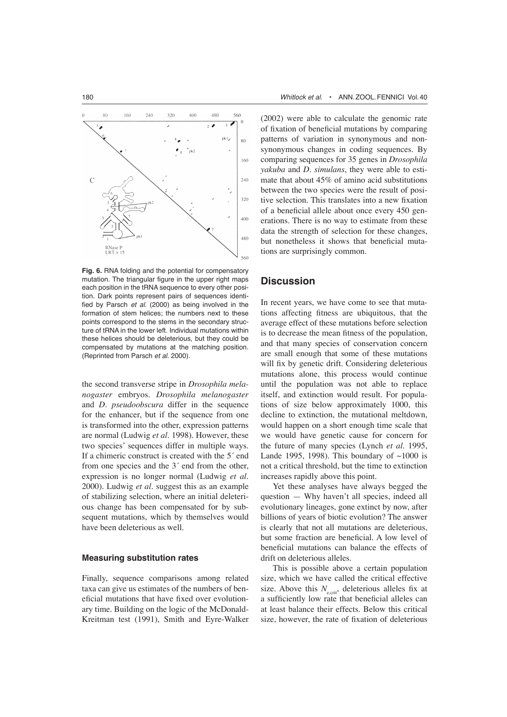

**Fig. 6.** RNA folding and the potential for compensatory mutation. The triangular figure in the upper right maps each position in the tRNA sequence to every other position. Dark points represent pairs of sequences identified by Parsch *et al*. (2000) as being involved in the formation of stem helices; the numbers next to these points correspond to the stems in the secondary structure of tRNA in the lower left. Individual mutations within these helices should be deleterious, but they could be compensated by mutations at the matching position. (Reprinted from Parsch *et al*. 2000).

the second transverse stripe in *Drosophila melanogaster* embryos. *Drosophila melanogaster* and *D. pseudoobscura* differ in the sequence for the enhancer, but if the sequence from one is transformed into the other, expression patterns are normal (Ludwig *et al*. 1998). However, these two species' sequences differ in multiple ways. If a chimeric construct is created with the 5´ end from one species and the 3´ end from the other, expression is no longer normal (Ludwig *et al.* 2000). Ludwig *et al.* suggest this as an example of stabilizing selection, where an initial deleterious change has been compensated for by subsequent mutations, which by themselves would have been deleterious as well.

#### **Measuring substitution rates**

Finally, sequence comparisons among related taxa can give us estimates of the numbers of beneficial mutations that have fixed over evolutionary time. Building on the logic of the McDonald-Kreitman test (1991), Smith and Eyre-Walker (2002) were able to calculate the genomic rate of fixation of beneficial mutations by comparing patterns of variation in synonymous and nonsynonymous changes in coding sequences. By comparing sequences for 35 genes in *Drosophila yakuba* and *D. simulans*, they were able to estimate that about 45% of amino acid substitutions between the two species were the result of positive selection. This translates into a new fixation of a beneficial allele about once every 450 generations. There is no way to estimate from these data the strength of selection for these changes, but nonetheless it shows that beneficial mutations are surprisingly common.

## **Discussion**

In recent years, we have come to see that mutations affecting fitness are ubiquitous, that the average effect of these mutations before selection is to decrease the mean fitness of the population, and that many species of conservation concern are small enough that some of these mutations will fix by genetic drift. Considering deleterious mutations alone, this process would continue until the population was not able to replace itself, and extinction would result. For populations of size below approximately 1000, this decline to extinction, the mutational meltdown, would happen on a short enough time scale that we would have genetic cause for concern for the future of many species (Lynch *et al.* 1995, Lande 1995, 1998). This boundary of  $\sim$ 1000 is not a critical threshold, but the time to extinction increases rapidly above this point.

Yet these analyses have always begged the question — Why haven't all species, indeed all evolutionary lineages, gone extinct by now, after billions of years of biotic evolution? The answer is clearly that not all mutations are deleterious, but some fraction are beneficial. A low level of beneficial mutations can balance the effects of drift on deleterious alleles.

This is possible above a certain population size, which we have called the critical effective size. Above this  $N_{\text{ecrit}}$ , deleterious alleles fix at a sufficiently low rate that beneficial alleles can at least balance their effects. Below this critical size, however, the rate of fixation of deleterious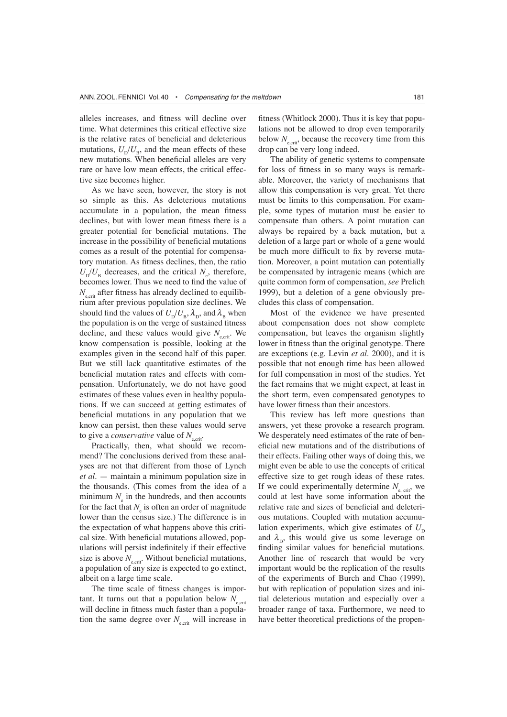alleles increases, and fitness will decline over time. What determines this critical effective size is the relative rates of beneficial and deleterious mutations,  $U_p/U_p$ , and the mean effects of these new mutations. When beneficial alleles are very rare or have low mean effects, the critical effective size becomes higher.

As we have seen, however, the story is not so simple as this. As deleterious mutations accumulate in a population, the mean fitness declines, but with lower mean fitness there is a greater potential for beneficial mutations. The increase in the possibility of beneficial mutations comes as a result of the potential for compensatory mutation. As fitness declines, then, the ratio  $U_D/U_B$  decreases, and the critical  $N_e$ , therefore, becomes lower. Thus we need to find the value of  $N_{\text{scrit}}$  after fitness has already declined to equilibrium after previous population size declines. We should find the values of  $U_p/U_p$ ,  $\lambda_p$ , and  $\lambda_p$  when the population is on the verge of sustained fitness decline, and these values would give  $N_{\text{scrit}}$ . We know compensation is possible, looking at the examples given in the second half of this paper. But we still lack quantitative estimates of the beneficial mutation rates and effects with compensation. Unfortunately, we do not have good estimates of these values even in healthy populations. If we can succeed at getting estimates of beneficial mutations in any population that we know can persist, then these values would serve to give a *conservative* value of  $N_{\text{scrit}}$ .

Practically, then, what should we recommend? The conclusions derived from these analyses are not that different from those of Lynch *et al*. — maintain a minimum population size in the thousands. (This comes from the idea of a minimum  $N_{\alpha}$  in the hundreds, and then accounts for the fact that  $N_e$  is often an order of magnitude lower than the census size.) The difference is in the expectation of what happens above this critical size. With beneficial mutations allowed, populations will persist indefinitely if their effective size is above  $N_{\text{ecrit}}$ . Without beneficial mutations, a population of any size is expected to go extinct, albeit on a large time scale.

The time scale of fitness changes is important. It turns out that a population below  $N_{\text{ecrit}}$ will decline in fitness much faster than a population the same degree over  $N_{\text{ecrit}}$  will increase in

fitness (Whitlock 2000). Thus it is key that populations not be allowed to drop even temporarily below  $N_{\text{ecrit}}$ , because the recovery time from this drop can be very long indeed.

The ability of genetic systems to compensate for loss of fitness in so many ways is remarkable. Moreover, the variety of mechanisms that allow this compensation is very great. Yet there must be limits to this compensation. For example, some types of mutation must be easier to compensate than others. A point mutation can always be repaired by a back mutation, but a deletion of a large part or whole of a gene would be much more difficult to fix by reverse mutation. Moreover, a point mutation can potentially be compensated by intragenic means (which are quite common form of compensation, *see* Prelich 1999), but a deletion of a gene obviously precludes this class of compensation.

Most of the evidence we have presented about compensation does not show complete compensation, but leaves the organism slightly lower in fitness than the original genotype. There are exceptions (e.g. Levin *et al*. 2000), and it is possible that not enough time has been allowed for full compensation in most of the studies. Yet the fact remains that we might expect, at least in the short term, even compensated genotypes to have lower fitness than their ancestors.

This review has left more questions than answers, yet these provoke a research program. We desperately need estimates of the rate of beneficial new mutations and of the distributions of their effects. Failing other ways of doing this, we might even be able to use the concepts of critical effective size to get rough ideas of these rates. If we could experimentally determine  $N_{\text{c}}$ <sub>crit</sub>, we could at lest have some information about the relative rate and sizes of beneficial and deleterious mutations. Coupled with mutation accumulation experiments, which give estimates of  $U_{\rm p}$ and  $\lambda_{\rm p}$ , this would give us some leverage on finding similar values for beneficial mutations. Another line of research that would be very important would be the replication of the results of the experiments of Burch and Chao (1999), but with replication of population sizes and initial deleterious mutation and especially over a broader range of taxa. Furthermore, we need to have better theoretical predictions of the propen-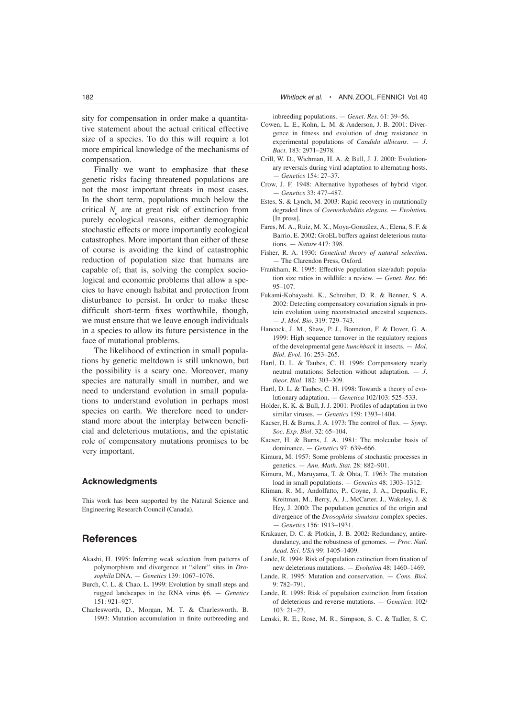Finally we want to emphasize that these genetic risks facing threatened populations are not the most important threats in most cases. In the short term, populations much below the critical  $N_{\perp}$  are at great risk of extinction from purely ecological reasons, either demographic stochastic effects or more importantly ecological catastrophes. More important than either of these of course is avoiding the kind of catastrophic reduction of population size that humans are capable of; that is, solving the complex sociological and economic problems that allow a species to have enough habitat and protection from disturbance to persist. In order to make these difficult short-term fixes worthwhile, though, we must ensure that we leave enough individuals in a species to allow its future persistence in the face of mutational problems.

The likelihood of extinction in small populations by genetic meltdown is still unknown, but the possibility is a scary one. Moreover, many species are naturally small in number, and we need to understand evolution in small populations to understand evolution in perhaps most species on earth. We therefore need to understand more about the interplay between beneficial and deleterious mutations, and the epistatic role of compensatory mutations promises to be very important.

## **Acknowledgments**

This work has been supported by the Natural Science and Engineering Research Council (Canada).

# **References**

- Akashi, H. 1995: Inferring weak selection from patterns of polymorphism and divergence at "silent" sites in *Drosophila* DNA. — *Genetics* 139: 1067–1076.
- Burch, C. L. & Chao, L. 1999: Evolution by small steps and rugged landscapes in the RNA virus f6. — *Genetics* 151: 921–927.
- Charlesworth, D., Morgan, M. T. & Charlesworth, B. 1993: Mutation accumulation in finite outbreeding and

inbreeding populations. — *Genet. Res.* 61: 39–56.

- Cowen, L. E., Kohn, L. M. & Anderson, J. B. 2001: Divergence in fitness and evolution of drug resistance in experimental populations of *Candida albicans*. — *J. Bact.* 183: 2971–2978.
- Crill, W. D., Wichman, H. A. & Bull, J. J. 2000: Evolutionary reversals during viral adaptation to alternating hosts. — *Genetics* 154: 27–37.
- Crow, J. F. 1948: Alternative hypotheses of hybrid vigor. — *Genetics* 33: 477–487.
- Estes, S. & Lynch, M. 2003: Rapid recovery in mutationally degraded lines of *Caenorhabditis elegans*. — *Evolution*. [In press].
- Fares, M. A., Ruiz, M. X., Moya-González, A., Elena, S. F. & Barrio, E. 2002: GroEL buffers against deleterious mutations. — *Nature* 417: 398.
- Fisher, R. A. 1930: *Genetical theory of natural selection*. — The Clarendon Press, Oxford.
- Frankham, R. 1995: Effective population size/adult population size ratios in wildlife: a review. — *Genet. Res.* 66: 95–107.
- Fukami-Kobayashi, K., Schreiber, D. R. & Benner, S. A. 2002: Detecting compensatory covariation signals in protein evolution using reconstructed ancestral sequences. — *J. Mol. Bio.* 319: 729–743.
- Hancock, J. M., Shaw, P. J., Bonneton, F. & Dover, G. A. 1999: High sequence turnover in the regulatory regions of the developmental gene *hunchback* in insects. — *Mol. Biol. Evol.* 16: 253–265.
- Hartl, D. L. & Taubes, C. H. 1996: Compensatory nearly neutral mutations: Selection without adaptation. — *J. theor. Biol*. 182: 303–309.
- Hartl, D. L. & Taubes, C. H. 1998: Towards a theory of evolutionary adaptation. — *Genetica* 102/103: 525–533.
- Holder, K. K. & Bull, J. J. 2001: Profiles of adaptation in two similar viruses. — *Genetics* 159: 1393–1404.
- Kacser, H. & Burns, J. A. 1973: The control of flux. *Symp. Soc. Exp. Biol*. 32: 65–104.
- Kacser, H. & Burns, J. A. 1981: The molecular basis of dominance. — *Genetics* 97: 639–666.
- Kimura, M. 1957: Some problems of stochastic processes in genetics. — *Ann. Math. Stat.* 28: 882–901.
- Kimura, M., Maruyama, T. & Ohta, T. 1963: The mutation load in small populations. — *Genetics* 48: 1303–1312.
- Kliman, R. M., Andolfatto, P., Coyne, J. A., Depaulis, F., Kreitman, M., Berry, A. J., McCarter, J., Wakeley, J. & Hey, J. 2000: The population genetics of the origin and divergence of the *Drosophila simulans* complex species. — *Genetics* 156: 1913–1931.
- Krakauer, D. C. & Plotkin, J. B. 2002: Redundancy, antiredundancy, and the robustness of genomes. — *Proc. Natl. Acad. Sci. USA* 99: 1405–1409.
- Lande, R. 1994: Risk of population extinction from fixation of new deleterious mutations. — *Evolution* 48: 1460–1469.
- Lande, R. 1995: Mutation and conservation. *Cons. Biol*. 9: 782–791.
- Lande, R. 1998: Risk of population extinction from fixation of deleterious and reverse mutations. — *Genetica*: 102/ 103: 21–27.
- Lenski, R. E., Rose, M. R., Simpson, S. C. & Tadler, S. C.